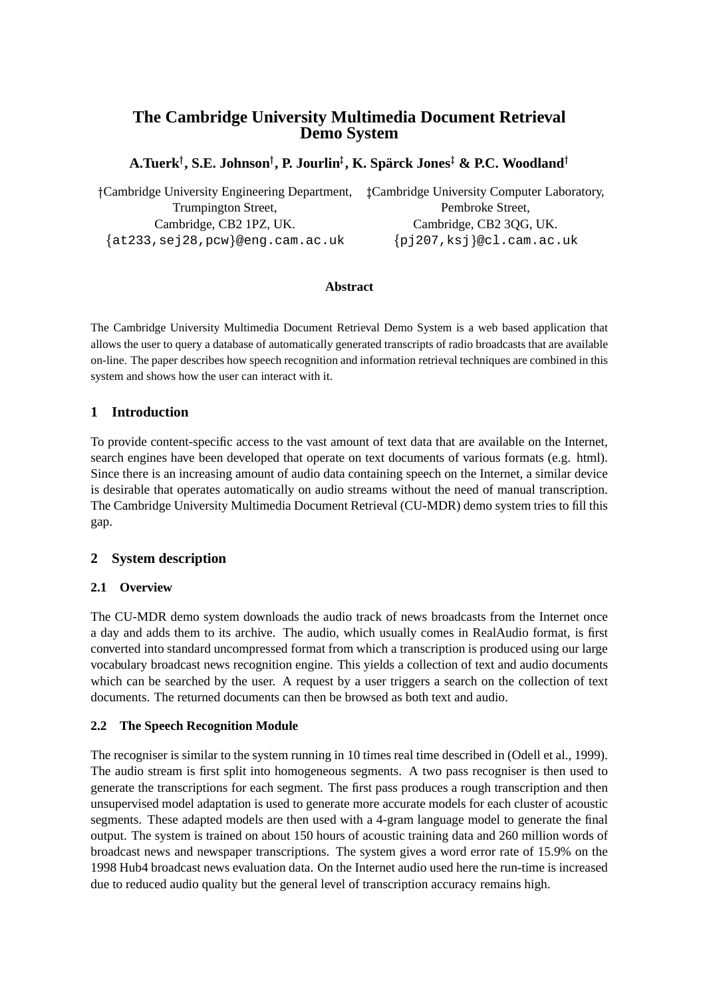# **The Cambridge University Multimedia Document Retrieval Demo System**

## $\mathbf{A}.\mathbf{T}$ uerk $^\dagger, \mathbf{S}.\mathbf{E}.\mathbf{J}$ ohnson $^\dagger, \mathbf{P}.\mathbf{J}$ ourlin $^\ddagger, \mathbf{K}.\mathbf{Spärck}\mathbf{J}$ ones $^\dagger$  &  $\mathbf{P}.\mathbf{C}.\mathbf{Woodland}^\dagger$

| †Cambridge University Engineering Department, | <b>Cambridge University Computer Laboratory,</b> |
|-----------------------------------------------|--------------------------------------------------|
| Trumpington Street,                           | Pembroke Street.                                 |
| Cambridge, CB2 1PZ, UK.                       | Cambridge, CB2 3QG, UK.                          |
| $\{at233, sej28, pcw\}$ @eng.cam.ac.uk        | ${pj207, ksj}$ @cl.cam.ac.uk                     |

#### **Abstract**

The Cambridge University Multimedia Document Retrieval Demo System is a web based application that allows the user to query a database of automatically generated transcripts of radio broadcasts that are available on-line. The paper describes how speech recognition and information retrieval techniques are combined in this system and shows how the user can interact with it.

## **1 Introduction**

To provide content-specific access to the vast amount of text data that are available on the Internet, search engines have been developed that operate on text documents of various formats (e.g. html). Since there is an increasing amount of audio data containing speech on the Internet, a similar device is desirable that operates automatically on audio streams without the need of manual transcription. The Cambridge University Multimedia Document Retrieval (CU-MDR) demo system tries to fill this gap.

## **2 System description**

## **2.1 Overview**

The CU-MDR demo system downloads the audio track of news broadcasts from the Internet once a day and adds them to its archive. The audio, which usually comes in RealAudio format, is first converted into standard uncompressed format from which a transcription is produced using our large vocabulary broadcast news recognition engine. This yields a collection of text and audio documents which can be searched by the user. A request by a user triggers a search on the collection of text documents. The returned documents can then be browsed as both text and audio.

## **2.2 The Speech Recognition Module**

The recogniser is similar to the system running in 10 times real time described in (Odell et al., 1999). The audio stream is first split into homogeneous segments. A two pass recogniser is then used to generate the transcriptions for each segment. The first pass produces a rough transcription and then unsupervised model adaptation is used to generate more accurate models for each cluster of acoustic segments. These adapted models are then used with a 4-gram language model to generate the final output. The system is trained on about 150 hours of acoustic training data and 260 million words of broadcast news and newspaper transcriptions. The system gives a word error rate of 15.9% on the 1998 Hub4 broadcast news evaluation data. On the Internet audio used here the run-time is increased due to reduced audio quality but the general level of transcription accuracy remains high.